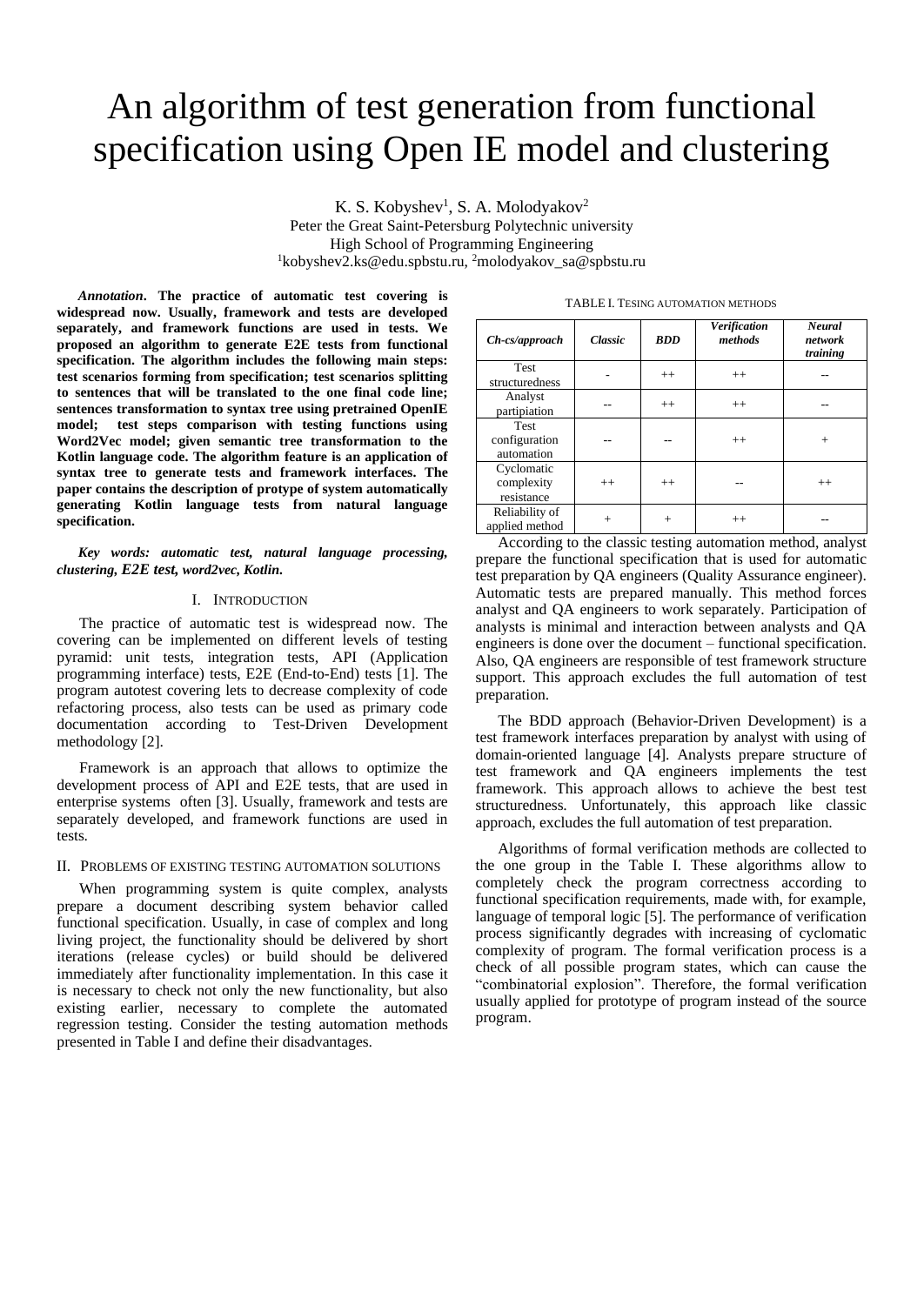# An algorithm of test generation from functional specification using Open IE model and clustering

K. S. Kobyshev<sup>1</sup>, S. A. Molodyakov<sup>2</sup> Peter the Great Saint-Petersburg Polytechnic university High School of Programming Engineering <sup>1</sup>kobyshev2.ks@edu.spbstu.ru, <sup>2</sup>molodyakov\_sa@spbstu.ru

*Annotation***. The practice of automatic test covering is widespread now. Usually, framework and tests are developed separately, and framework functions are used in tests. We proposed an algorithm to generate E2E tests from functional specification. The algorithm includes the following main steps: test scenarios forming from specification; test scenarios splitting to sentences that will be translated to the one final code line; sentences transformation to syntax tree using pretrained OpenIE model; test steps comparison with testing functions using Word2Vec model; given semantic tree transformation to the Kotlin language code. The algorithm feature is an application of syntax tree to generate tests and framework interfaces. The paper contains the description of protype of system automatically generating Kotlin language tests from natural language specification.**

*Key words: automatic test, natural language processing, clustering, E2E test, word2vec, Kotlin.*

#### I. INTRODUCTION

The practice of automatic test is widespread now. The covering can be implemented on different levels of testing pyramid: unit tests, integration tests, API (Application programming interface) tests, E2E (End-to-End) tests [1]. The program autotest covering lets to decrease complexity of code refactoring process, also tests can be used as primary code documentation according to Test-Driven Development methodology [2].

Framework is an approach that allows to optimize the development process of API and E2E tests, that are used in enterprise systems often [3]. Usually, framework and tests are separately developed, and framework functions are used in tests.

## II. PROBLEMS OF EXISTING TESTING AUTOMATION SOLUTIONS

When programming system is quite complex, analysts prepare a document describing system behavior called functional specification. Usually, in case of complex and long living project, the functionality should be delivered by short iterations (release cycles) or build should be delivered immediately after functionality implementation. In this case it is necessary to check not only the new functionality, but also existing earlier, necessary to complete the automated regression testing. Consider the testing automation methods presented in Table I and define their disadvantages.

| $Ch-cs/approach$                           | <b>Classic</b> | <b>BDD</b> | <b>Verification</b><br>methods | <b>Neural</b><br>network<br>training |
|--------------------------------------------|----------------|------------|--------------------------------|--------------------------------------|
| <b>Test</b><br>structuredness              |                | $++$       | $++$                           |                                      |
| Analyst<br>partipiation                    |                | $++$       | $++$                           |                                      |
| <b>Test</b><br>configuration<br>automation |                |            | $++$                           | $+$                                  |
| Cyclomatic<br>complexity<br>resistance     | $^{++}$        | $^{++}$    |                                | $^{++}$                              |
| Reliability of<br>applied method           | $^{+}$         | $+$        | $++$                           |                                      |

TABLE I. TESING AUTOMATION METHODS

According to the classic testing automation method, analyst prepare the functional specification that is used for automatic test preparation by QA engineers (Quality Assurance engineer). Automatic tests are prepared manually. This method forces analyst and QA engineers to work separately. Participation of analysts is minimal and interaction between analysts and QA engineers is done over the document – functional specification. Also, QA engineers are responsible of test framework structure support. This approach excludes the full automation of test preparation.

The BDD approach (Behavior-Driven Development) is a test framework interfaces preparation by analyst with using of domain-oriented language [4]. Analysts prepare structure of test framework and QA engineers implements the test framework. This approach allows to achieve the best test structuredness. Unfortunately, this approach like classic approach, excludes the full automation of test preparation.

Algorithms of formal verification methods are collected to the one group in the Table I. These algorithms allow to completely check the program correctness according to functional specification requirements, made with, for example, language of temporal logic [5]. The performance of verification process significantly degrades with increasing of cyclomatic complexity of program. The formal verification process is a check of all possible program states, which can cause the "combinatorial explosion". Therefore, the formal verification usually applied for prototype of program instead of the source program.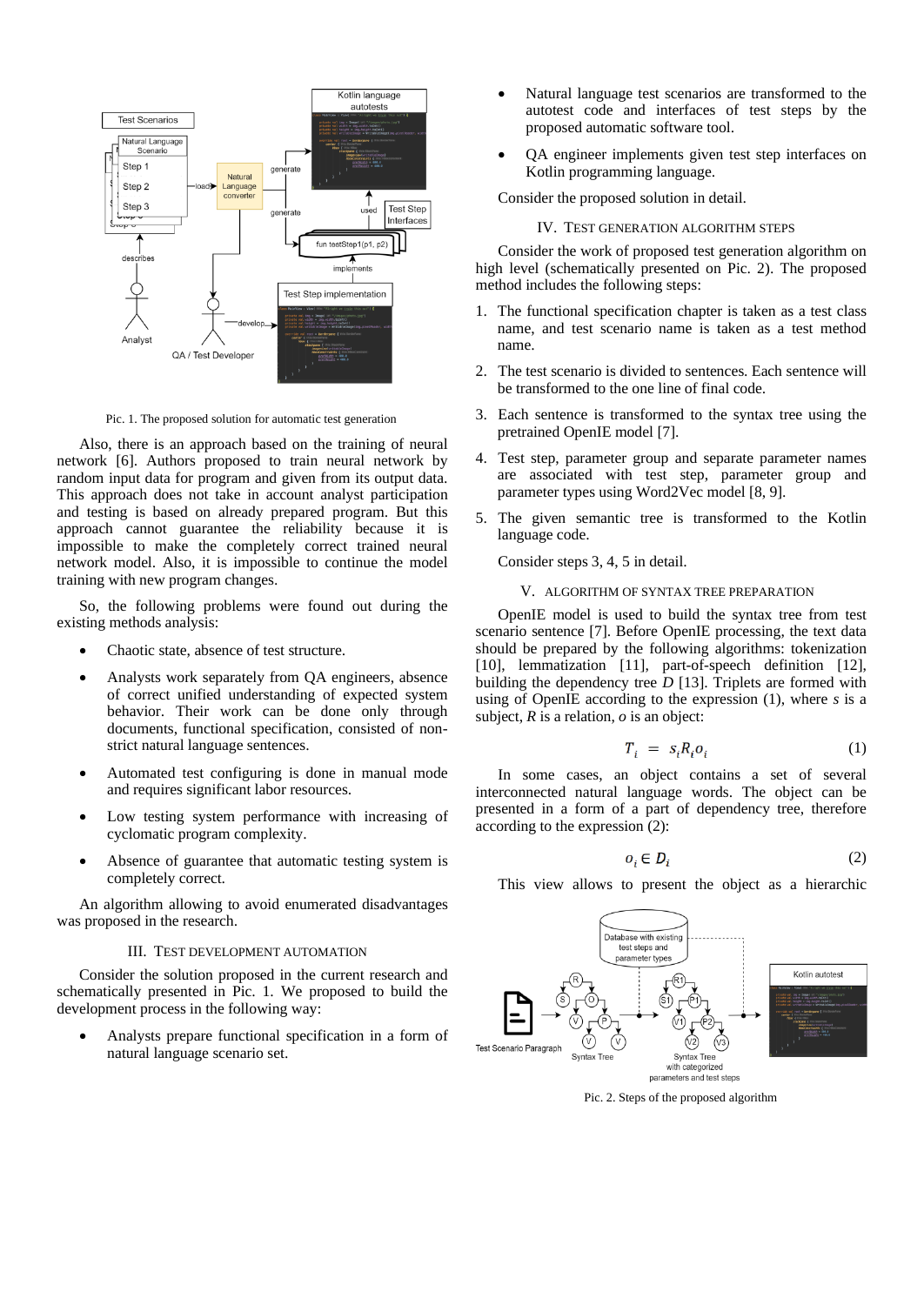

Pic. 1. The proposed solution for automatic test generation

Also, there is an approach based on the training of neural network [6]. Authors proposed to train neural network by random input data for program and given from its output data. This approach does not take in account analyst participation and testing is based on already prepared program. But this approach cannot guarantee the reliability because it is impossible to make the completely correct trained neural network model. Also, it is impossible to continue the model training with new program changes.

So, the following problems were found out during the existing methods analysis:

- Chaotic state, absence of test structure.
- Analysts work separately from QA engineers, absence of correct unified understanding of expected system behavior. Their work can be done only through documents, functional specification, consisted of nonstrict natural language sentences.
- Automated test configuring is done in manual mode and requires significant labor resources.
- Low testing system performance with increasing of cyclomatic program complexity.
- Absence of guarantee that automatic testing system is completely correct.

An algorithm allowing to avoid enumerated disadvantages was proposed in the research.

#### III. TEST DEVELOPMENT AUTOMATION

Consider the solution proposed in the current research and schematically presented in Pic. 1. We proposed to build the development process in the following way:

• Analysts prepare functional specification in a form of natural language scenario set.

- Natural language test scenarios are transformed to the autotest code and interfaces of test steps by the proposed automatic software tool.
- QA engineer implements given test step interfaces on Kotlin programming language.

Consider the proposed solution in detail.

#### IV. TEST GENERATION ALGORITHM STEPS

Consider the work of proposed test generation algorithm on high level (schematically presented on Pic. 2). The proposed method includes the following steps:

- 1. The functional specification chapter is taken as a test class name, and test scenario name is taken as a test method name.
- 2. The test scenario is divided to sentences. Each sentence will be transformed to the one line of final code.
- 3. Each sentence is transformed to the syntax tree using the pretrained OpenIE model [7].
- 4. Test step, parameter group and separate parameter names are associated with test step, parameter group and parameter types using Word2Vec model [8, 9].
- 5. The given semantic tree is transformed to the Kotlin language code.

Consider steps 3, 4, 5 in detail.

# V. ALGORITHM OF SYNTAX TREE PREPARATION

OpenIE model is used to build the syntax tree from test scenario sentence [7]. Before OpenIE processing, the text data should be prepared by the following algorithms: tokenization [10], lemmatization [11], part-of-speech definition [12], building the dependency tree *D* [13]. Triplets are formed with using of OpenIE according to the expression (1), where *s* is a subject, *R* is a relation, *o* is an object:

$$
T_i = s_i R_i o_i \tag{1}
$$

In some cases, an object contains a set of several interconnected natural language words. The object can be presented in a form of a part of dependency tree, therefore according to the expression (2):

$$
o_i \in D_i \tag{2}
$$

This view allows to present the object as a hierarchic



Pic. 2. Steps of the proposed algorithm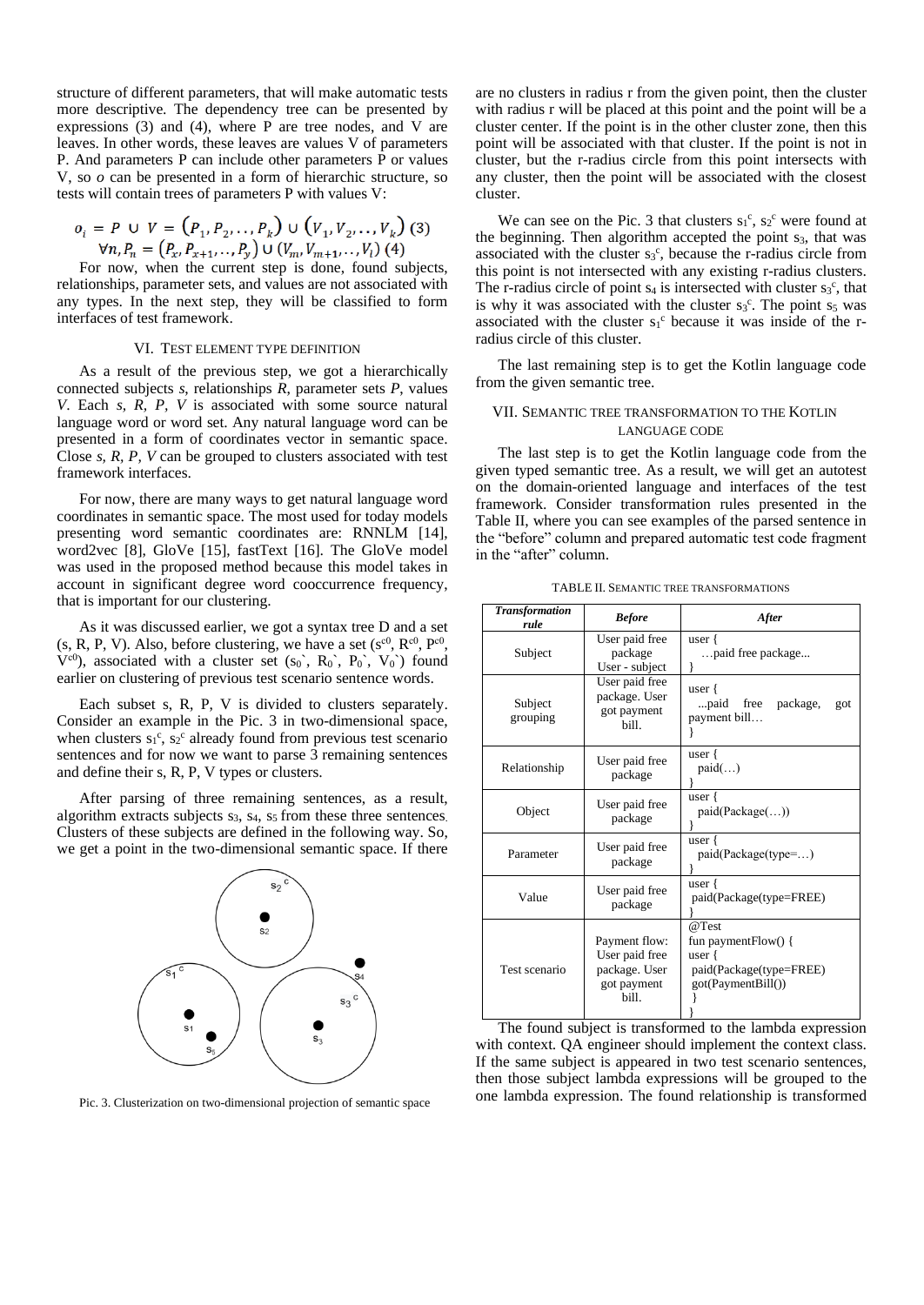structure of different parameters, that will make automatic tests more descriptive. The dependency tree can be presented by expressions (3) and (4), where P are tree nodes, and V are leaves. In other words, these leaves are values V of parameters P. And parameters P can include other parameters P or values V, so *o* can be presented in a form of hierarchic structure, so tests will contain trees of parameters P with values V:

$$
o_i = P \cup V = (P_1, P_2, \dots, P_k) \cup (V_1, V_2, \dots, V_k) \tag{3}
$$
  

$$
\forall n, P_n = (P_x, P_{x+1}, \dots, P_y) \cup (V_m, V_{m+1}, \dots, V_l) \tag{4}
$$

For now, when the current step is done, found subjects, relationships, parameter sets, and values are not associated with any types. In the next step, they will be classified to form interfaces of test framework.

### VI. TEST ELEMENT TYPE DEFINITION

As a result of the previous step, we got a hierarchically connected subjects *s*, relationships *R*, parameter sets *P*, values *V*. Each *s, R, P, V* is associated with some source natural language word or word set. Any natural language word can be presented in a form of coordinates vector in semantic space. Close *s, R, P, V* can be grouped to clusters associated with test framework interfaces.

For now, there are many ways to get natural language word coordinates in semantic space. The most used for today models presenting word semantic coordinates are: RNNLM [14], word2vec [8], GloVe [15], fastText [16]. The GloVe model was used in the proposed method because this model takes in account in significant degree word cooccurrence frequency, that is important for our clustering.

As it was discussed earlier, we got a syntax tree D and a set (s, R, P, V). Also, before clustering, we have a set  $(s^{c0}, R^{c0}, P^{c0}, P^{c0})$  $V^{c0}$ ), associated with a cluster set  $(s_0, R_0, P_0, V_0)$  found earlier on clustering of previous test scenario sentence words.

Each subset s, R, P, V is divided to clusters separately. Consider an example in the Pic. 3 in two-dimensional space, when clusters  $s_1^c$ ,  $s_2^c$  already found from previous test scenario sentences and for now we want to parse 3 remaining sentences and define their s, R, P, V types or clusters.

After parsing of three remaining sentences, as a result, algorithm extracts subjects  $s_3$ ,  $s_4$ ,  $s_5$  from these three sentences. Clusters of these subjects are defined in the following way. So, we get a point in the two-dimensional semantic space. If there



are no clusters in radius r from the given point, then the cluster with radius r will be placed at this point and the point will be a cluster center. If the point is in the other cluster zone, then this point will be associated with that cluster. If the point is not in cluster, but the r-radius circle from this point intersects with any cluster, then the point will be associated with the closest cluster.

We can see on the Pic. 3 that clusters  $s_1^c$ ,  $s_2^c$  were found at the beginning. Then algorithm accepted the point  $s<sub>3</sub>$ , that was associated with the cluster  $s_3$ <sup>c</sup>, because the r-radius circle from this point is not intersected with any existing r-radius clusters. The r-radius circle of point  $s_4$  is intersected with cluster  $s_3$ <sup>c</sup>, that is why it was associated with the cluster  $s_3$ <sup>c</sup>. The point  $s_5$  was associated with the cluster  $s_1^c$  because it was inside of the rradius circle of this cluster.

The last remaining step is to get the Kotlin language code from the given semantic tree.

# VII. SEMANTIC TREE TRANSFORMATION TO THE KOTLIN LANGUAGE CODE

The last step is to get the Kotlin language code from the given typed semantic tree. As a result, we will get an autotest on the domain-oriented language and interfaces of the test framework. Consider transformation rules presented in the Table II, where you can see examples of the parsed sentence in the "before" column and prepared automatic test code fragment in the "after" column.

| <b>Transformation</b><br>rule | <b>Before</b>                                                            | After                                                                                          |  |
|-------------------------------|--------------------------------------------------------------------------|------------------------------------------------------------------------------------------------|--|
| Subject                       | User paid free<br>package<br>User - subject                              | user $\{$<br>paid free package                                                                 |  |
| Subject<br>grouping           | User paid free<br>package. User<br>got payment<br>bill.                  | user $\{$<br>paid free package,<br>got<br>payment bill                                         |  |
| Relationship                  | User paid free<br>package                                                | user {<br>paid()                                                                               |  |
| Object                        | User paid free<br>package                                                | user $\{$<br>paid(Package())                                                                   |  |
| Parameter                     | User paid free<br>package                                                | user $\{$<br>paid(Package(type=)                                                               |  |
| Value                         | User paid free<br>package                                                | user {<br>paid(Package(type=FREE)                                                              |  |
| Test scenario                 | Payment flow:<br>User paid free<br>package. User<br>got payment<br>bill. | @Test<br>fun payment $Flow() \{$<br>user $\{$<br>paid(Package(type=FREE)<br>got(PaymentBill()) |  |

TABLE II. SEMANTIC TREE TRANSFORMATIONS

The found subject is transformed to the lambda expression with context. QA engineer should implement the context class. If the same subject is appeared in two test scenario sentences, then those subject lambda expressions will be grouped to the Pic. 3. Clusterization on two-dimensional projection of semantic space one lambda expression. The found relationship is transformed